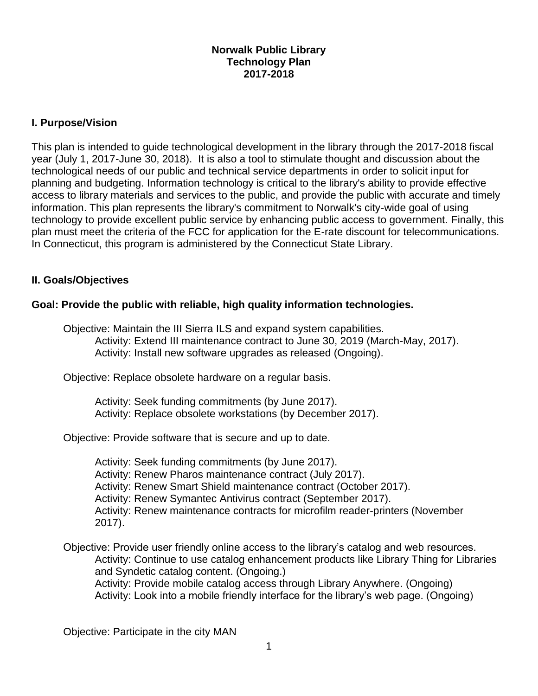### **Norwalk Public Library Technology Plan 2017-2018**

### **I. Purpose/Vision**

This plan is intended to guide technological development in the library through the 2017-2018 fiscal year (July 1, 2017-June 30, 2018). It is also a tool to stimulate thought and discussion about the technological needs of our public and technical service departments in order to solicit input for planning and budgeting. Information technology is critical to the library's ability to provide effective access to library materials and services to the public, and provide the public with accurate and timely information. This plan represents the library's commitment to Norwalk's city-wide goal of using technology to provide excellent public service by enhancing public access to government. Finally, this plan must meet the criteria of the FCC for application for the E-rate discount for telecommunications. In Connecticut, this program is administered by the Connecticut State Library.

#### **II. Goals/Objectives**

### **Goal: Provide the public with reliable, high quality information technologies.**

Objective: Maintain the III Sierra ILS and expand system capabilities. Activity: Extend III maintenance contract to June 30, 2019 (March-May, 2017). Activity: Install new software upgrades as released (Ongoing).

Objective: Replace obsolete hardware on a regular basis.

Activity: Seek funding commitments (by June 2017). Activity: Replace obsolete workstations (by December 2017).

Objective: Provide software that is secure and up to date.

Activity: Seek funding commitments (by June 2017). Activity: Renew Pharos maintenance contract (July 2017). Activity: Renew Smart Shield maintenance contract (October 2017). Activity: Renew Symantec Antivirus contract (September 2017). Activity: Renew maintenance contracts for microfilm reader-printers (November 2017).

Objective: Provide user friendly online access to the library's catalog and web resources. Activity: Continue to use catalog enhancement products like Library Thing for Libraries and Syndetic catalog content. (Ongoing.) Activity: Provide mobile catalog access through Library Anywhere. (Ongoing) Activity: Look into a mobile friendly interface for the library's web page. (Ongoing)

Objective: Participate in the city MAN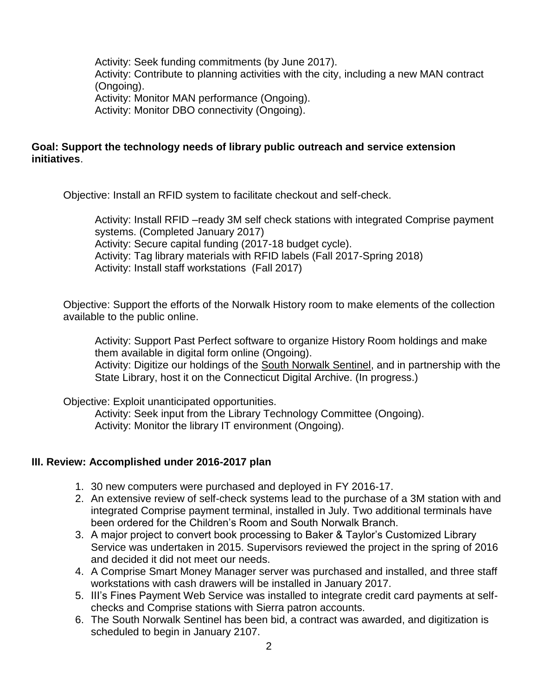Activity: Seek funding commitments (by June 2017). Activity: Contribute to planning activities with the city, including a new MAN contract (Ongoing). Activity: Monitor MAN performance (Ongoing). Activity: Monitor DBO connectivity (Ongoing).

#### **Goal: Support the technology needs of library public outreach and service extension initiatives**.

Objective: Install an RFID system to facilitate checkout and self-check.

Activity: Install RFID –ready 3M self check stations with integrated Comprise payment systems. (Completed January 2017) Activity: Secure capital funding (2017-18 budget cycle). Activity: Tag library materials with RFID labels (Fall 2017-Spring 2018) Activity: Install staff workstations (Fall 2017)

Objective: Support the efforts of the Norwalk History room to make elements of the collection available to the public online.

Activity: Support Past Perfect software to organize History Room holdings and make them available in digital form online (Ongoing). Activity: Digitize our holdings of the South Norwalk Sentinel, and in partnership with the State Library, host it on the Connecticut Digital Archive. (In progress.)

Objective: Exploit unanticipated opportunities.

Activity: Seek input from the Library Technology Committee (Ongoing). Activity: Monitor the library IT environment (Ongoing).

#### **III. Review: Accomplished under 2016-2017 plan**

- 1. 30 new computers were purchased and deployed in FY 2016-17.
- 2. An extensive review of self-check systems lead to the purchase of a 3M station with and integrated Comprise payment terminal, installed in July. Two additional terminals have been ordered for the Children's Room and South Norwalk Branch.
- 3. A major project to convert book processing to Baker & Taylor's Customized Library Service was undertaken in 2015. Supervisors reviewed the project in the spring of 2016 and decided it did not meet our needs.
- 4. A Comprise Smart Money Manager server was purchased and installed, and three staff workstations with cash drawers will be installed in January 2017.
- 5. III's Fines Payment Web Service was installed to integrate credit card payments at selfchecks and Comprise stations with Sierra patron accounts.
- 6. The South Norwalk Sentinel has been bid, a contract was awarded, and digitization is scheduled to begin in January 2107.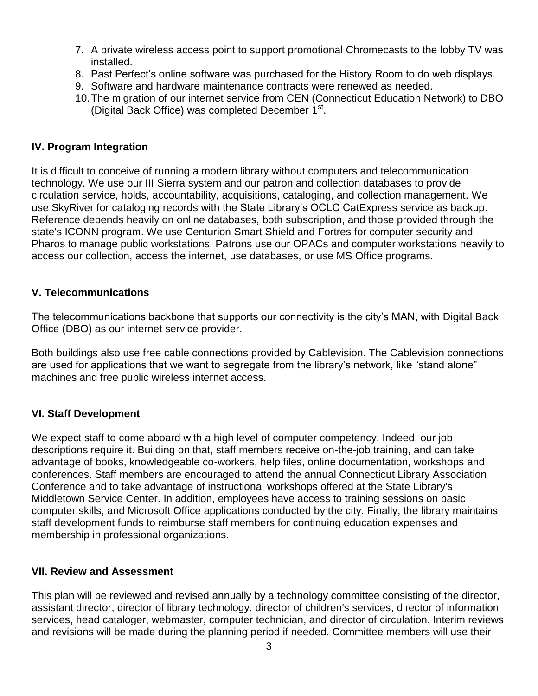- 7. A private wireless access point to support promotional Chromecasts to the lobby TV was installed.
- 8. Past Perfect's online software was purchased for the History Room to do web displays.
- 9. Software and hardware maintenance contracts were renewed as needed.
- 10.The migration of our internet service from CEN (Connecticut Education Network) to DBO (Digital Back Office) was completed December 1<sup>st</sup>.

### **IV. Program Integration**

It is difficult to conceive of running a modern library without computers and telecommunication technology. We use our III Sierra system and our patron and collection databases to provide circulation service, holds, accountability, acquisitions, cataloging, and collection management. We use SkyRiver for cataloging records with the State Library's OCLC CatExpress service as backup. Reference depends heavily on online databases, both subscription, and those provided through the state's ICONN program. We use Centurion Smart Shield and Fortres for computer security and Pharos to manage public workstations. Patrons use our OPACs and computer workstations heavily to access our collection, access the internet, use databases, or use MS Office programs.

#### **V. Telecommunications**

The telecommunications backbone that supports our connectivity is the city's MAN, with Digital Back Office (DBO) as our internet service provider.

Both buildings also use free cable connections provided by Cablevision. The Cablevision connections are used for applications that we want to segregate from the library's network, like "stand alone" machines and free public wireless internet access.

## **VI. Staff Development**

We expect staff to come aboard with a high level of computer competency. Indeed, our job descriptions require it. Building on that, staff members receive on-the-job training, and can take advantage of books, knowledgeable co-workers, help files, online documentation, workshops and conferences. Staff members are encouraged to attend the annual Connecticut Library Association Conference and to take advantage of instructional workshops offered at the State Library's Middletown Service Center. In addition, employees have access to training sessions on basic computer skills, and Microsoft Office applications conducted by the city. Finally, the library maintains staff development funds to reimburse staff members for continuing education expenses and membership in professional organizations.

#### **VII. Review and Assessment**

This plan will be reviewed and revised annually by a technology committee consisting of the director, assistant director, director of library technology, director of children's services, director of information services, head cataloger, webmaster, computer technician, and director of circulation. Interim reviews and revisions will be made during the planning period if needed. Committee members will use their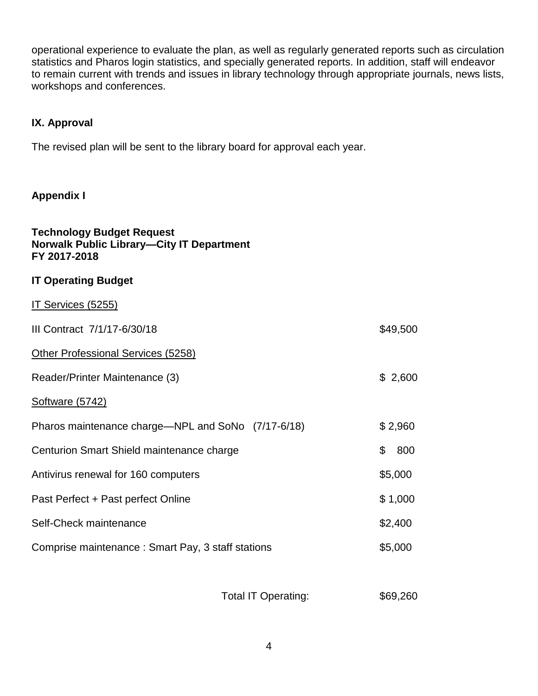operational experience to evaluate the plan, as well as regularly generated reports such as circulation statistics and Pharos login statistics, and specially generated reports. In addition, staff will endeavor to remain current with trends and issues in library technology through appropriate journals, news lists, workshops and conferences.

## **IX. Approval**

The revised plan will be sent to the library board for approval each year.

## **Appendix I**

| <b>Technology Budget Request</b><br><b>Norwalk Public Library-City IT Department</b><br>FY 2017-2018 |           |
|------------------------------------------------------------------------------------------------------|-----------|
| <b>IT Operating Budget</b>                                                                           |           |
| IT Services (5255)                                                                                   |           |
| III Contract 7/1/17-6/30/18                                                                          | \$49,500  |
| Other Professional Services (5258)                                                                   |           |
| Reader/Printer Maintenance (3)                                                                       | \$2,600   |
| <b>Software (5742)</b>                                                                               |           |
| Pharos maintenance charge—NPL and SoNo (7/17-6/18)                                                   | \$2,960   |
| Centurion Smart Shield maintenance charge                                                            | \$<br>800 |
| Antivirus renewal for 160 computers                                                                  | \$5,000   |
| Past Perfect + Past perfect Online                                                                   | \$1,000   |
| Self-Check maintenance                                                                               | \$2,400   |
| Comprise maintenance: Smart Pay, 3 staff stations                                                    | \$5,000   |

Total IT Operating: \$69,260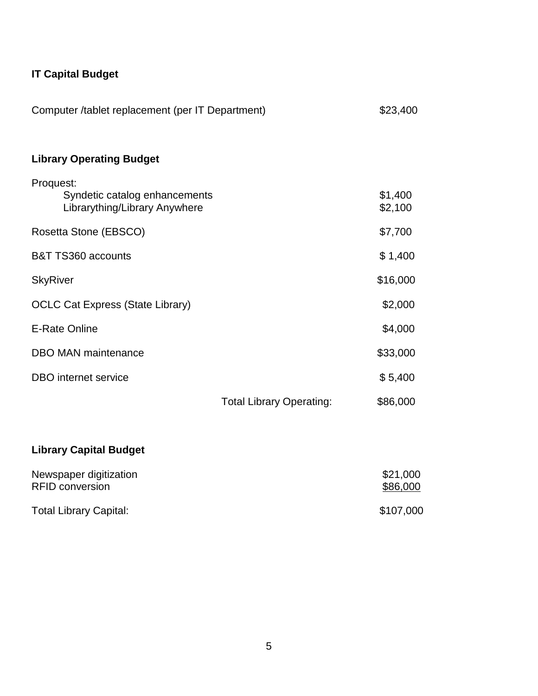# **IT Capital Budget**

| Computer /tablet replacement (per IT Department)                            |                                 | \$23,400           |
|-----------------------------------------------------------------------------|---------------------------------|--------------------|
| <b>Library Operating Budget</b>                                             |                                 |                    |
| Proquest:<br>Syndetic catalog enhancements<br>Librarything/Library Anywhere |                                 | \$1,400<br>\$2,100 |
| Rosetta Stone (EBSCO)                                                       |                                 | \$7,700            |
| B&T TS360 accounts                                                          |                                 | \$1,400            |
| <b>SkyRiver</b>                                                             |                                 | \$16,000           |
| <b>OCLC Cat Express (State Library)</b>                                     |                                 | \$2,000            |
| <b>E-Rate Online</b>                                                        |                                 | \$4,000            |
| <b>DBO MAN maintenance</b>                                                  |                                 | \$33,000           |
| <b>DBO</b> internet service                                                 |                                 | \$5,400            |
|                                                                             | <b>Total Library Operating:</b> | \$86,000           |

# **Library Capital Budget**

| Newspaper digitization        | \$21,000  |
|-------------------------------|-----------|
| <b>RFID conversion</b>        | \$86,000  |
| <b>Total Library Capital:</b> | \$107,000 |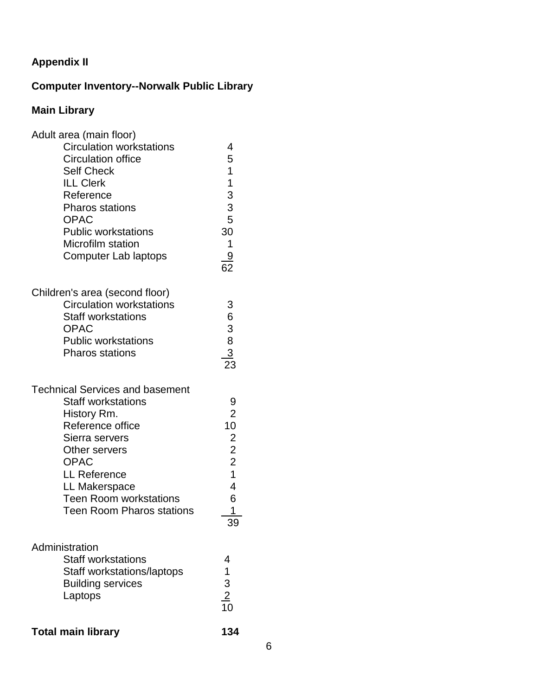# **Appendix II**

# **Computer Inventory--Norwalk Public Library**

# **Main Library**

| Adult area (main floor)<br><b>Circulation workstations</b><br><b>Circulation office</b><br><b>Self Check</b><br><b>ILL Clerk</b><br>Reference<br><b>Pharos stations</b><br><b>OPAC</b><br><b>Public workstations</b><br>Microfilm station<br>Computer Lab laptops     | 4<br>5<br>1<br>1<br>$\begin{array}{c} 3 \\ 3 \\ 5 \end{array}$<br>30<br>1<br>$\frac{9}{62}$                            |  |
|-----------------------------------------------------------------------------------------------------------------------------------------------------------------------------------------------------------------------------------------------------------------------|------------------------------------------------------------------------------------------------------------------------|--|
| Children's area (second floor)<br><b>Circulation workstations</b><br><b>Staff workstations</b><br><b>OPAC</b><br><b>Public workstations</b><br><b>Pharos stations</b>                                                                                                 | 3<br>6<br>$\begin{array}{c}\n3 \\ 8 \\ 23\n\end{array}$                                                                |  |
| <b>Technical Services and basement</b><br><b>Staff workstations</b><br>History Rm.<br>Reference office<br>Sierra servers<br>Other servers<br><b>OPAC</b><br><b>LL Reference</b><br>LL Makerspace<br><b>Teen Room workstations</b><br><b>Teen Room Pharos stations</b> | 9<br>$\overline{2}$<br>10<br>$\overline{2}$<br>$\overline{2}$<br>$\overline{2}$<br>$\overline{1}$<br>4<br>6<br>1<br>39 |  |
| Administration<br><b>Staff workstations</b><br>Staff workstations/laptops<br><b>Building services</b><br>Laptops                                                                                                                                                      | 4<br>1<br>$\frac{3}{10}$                                                                                               |  |
| <b>Total main library</b>                                                                                                                                                                                                                                             | 134                                                                                                                    |  |